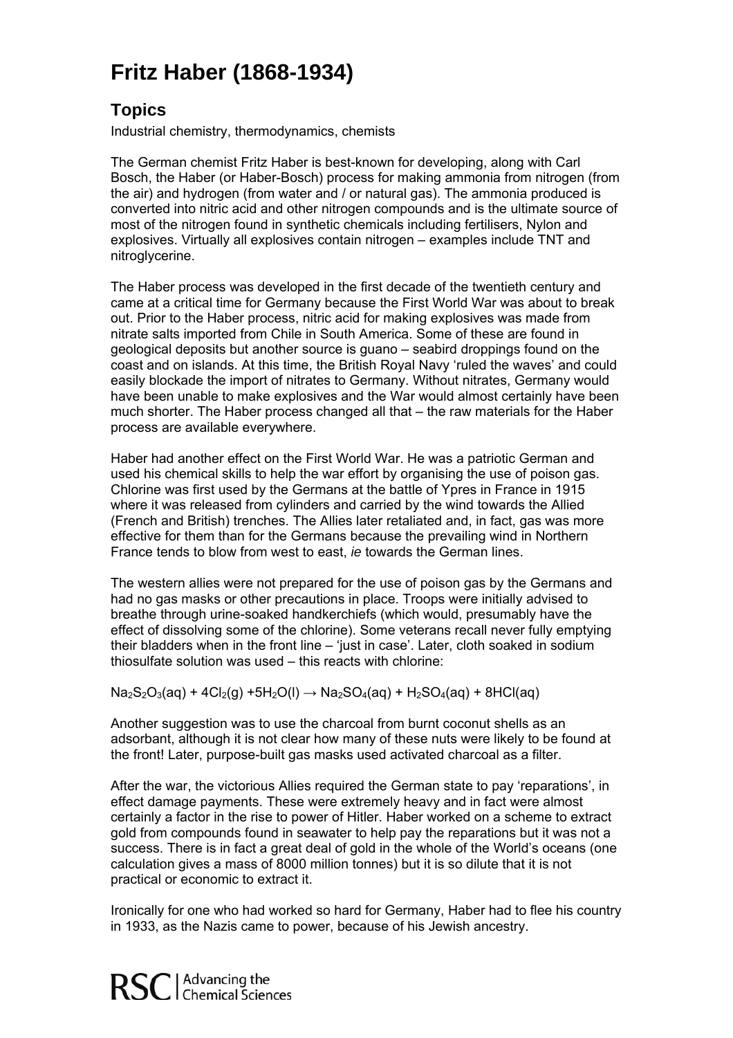## **aber (1868-1934) Fritz H**

## **Topics**

Industrial chemistry, thermodynamics, chemists

converted into nitric acid and other nitrogen compounds and is the ultimate source of explosives. Virtually all explosives contain nitrogen – examples include TNT and The German chemist Fritz Haber is best-known for developing, along with Carl Bosch, the Haber (or Haber-Bosch) process for making ammonia from nitrogen (from the air) and hydrogen (from water and / or natural gas). The ammonia produced is most of the nitrogen found in synthetic chemicals including fertilisers, Nylon and nitroglycerine.

came at a critical time for Germany because the First World War was about to break much shorter. The Haber process changed all that – the raw materials for the Haber The Haber process was developed in the first decade of the twentieth century and out. Prior to the Haber process, nitric acid for making explosives was made from nitrate salts imported from Chile in South America. Some of these are found in geological deposits but another source is guano – seabird droppings found on the coast and on islands. At this time, the British Royal Navy 'ruled the waves' and could easily blockade the import of nitrates to Germany. Without nitrates, Germany would have been unable to make explosives and the War would almost certainly have been process are available everywhere.

used his chemical skills to help the war effort by organising the use of poison gas. (French and British) trenches. The Allies later retaliated and, in fact, gas was more effective for them than for the Germans because the prevailing wind in Northern Haber had another effect on the First World War. He was a patriotic German and Chlorine was first used by the Germans at the battle of Ypres in France in 1915 where it was released from cylinders and carried by the wind towards the Allied France tends to blow from west to east, *ie* towards the German lines.

The western allies were not prepared for the use of poison gas by the Germans and effect of dissolving some of the chlorine). Some veterans recall never fully emptying their bladders when in the front line – 'just in case'. Later, cloth soaked in sodium had no gas masks or other precautions in place. Troops were initially advised to breathe through urine-soaked handkerchiefs (which would, presumably have the thiosulfate solution was used – this reacts with chlorine:

 $Na_2S_2O_3(aq) + 4Cl_2(g) + 5H_2O(l) \rightarrow Na_2SO_4(aq) + H_2SO_4(aq) + 8HCl(aq)$ 

adsorbant, although it is not clear how many of these nuts were likely to be found at Another suggestion was to use the charcoal from burnt coconut shells as an the front! Later, purpose-built gas masks used activated charcoal as a filter.

success. There is in fact a great deal of gold in the whole of the World's oceans (one calculation gives a mass of 8000 million tonnes) but it is so dilute that it is not After the war, the victorious Allies required the German state to pay 'reparations', in effect damage payments. These were extremely heavy and in fact were almost certainly a factor in the rise to power of Hitler. Haber worked on a scheme to extract gold from compounds found in seawater to help pay the reparations but it was not a practical or economic to extract it.

Ironically for one who had worked so hard for Germany, Haber had to flee his country in 1933, as the Nazis came to power, because of his Jewish ancestry.